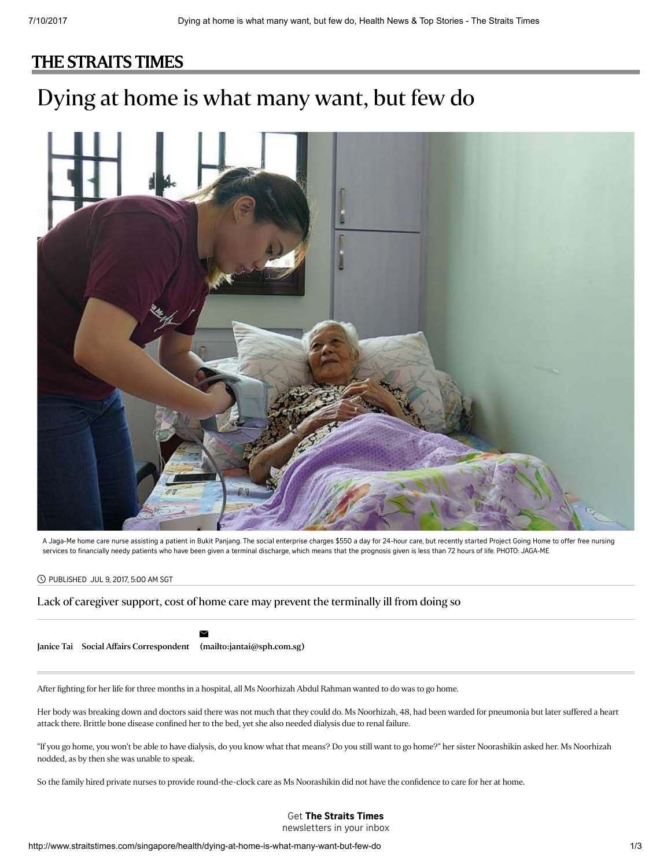## [THE STRAITS TIMES](http://www.straitstimes.com/)

# Dying at home is what many want, but few do



A Jaga-Me home care nurse assisting a patient in Bukit Panjang. The social enterprise charges \$550 a day for 24-hour care, but recently started Project Going Home to offer free nursing services to financially needy patients who have been given a terminal discharge, which means that the prognosis given is less than 72 hours of life. PHOTO: JAGA-ME

#### PUBLISHED JUL 9, 2017, 5:00 AM SGT

#### Lack of caregiver support, cost of home care may prevent the terminally ill from doing so

[Janice](http://www.straitstimes.com/authors/janice-tai) Tai Social Affairs Correspondent [\(mailto:jantai@sph.com.sg\)](mailto:jantai@sph.com.sg)

 $\geq$ 

After fighting for her life for three months in a hospital, all Ms Noorhizah Abdul Rahman wanted to do was to go home.

Her body was breaking down and doctors said there was not much that they could do. Ms Noorhizah, 48, had been warded for pneumonia but later suffered a heart attack there. Brittle bone disease confined her to the bed, yet she also needed dialysis due to renal failure.

"If you go home, you won't be able to have dialysis, do you know what that means? Do you still want to go home?" her sister Noorashikin asked her. Ms Noorhizah nodded, as by then she was unable to speak.

So the family hired private nurses to provide round-the-clock care as Ms Noorashikin did not have the confidence to care for her at home.

### Get The Straits Times

newsletters in your inbox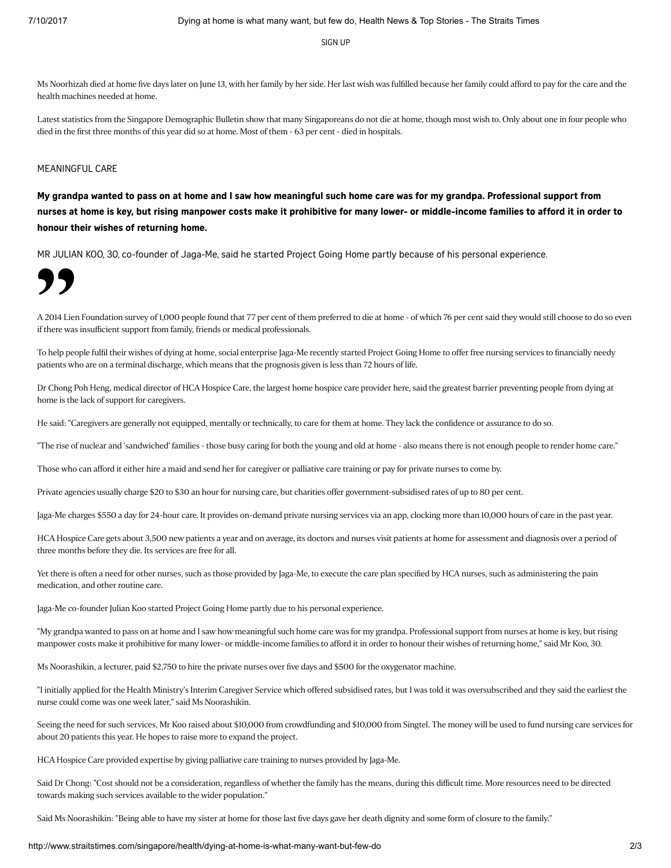[SIGN](http://www.straitstimes.com/newsletter-signup) UP

Ms Noorhizah died at home five days later on June 13, with her family by her side. Her last wish was fulfilled because her family could afford to pay for the care and the health machines needed at home.

Latest statistics from the Singapore Demographic Bulletin show that many Singaporeans do not die at home, though most wish to. Only about one in four people who died in the first three months of this year did so at home. Most of them - 63 per cent - died in hospitals.

#### MEANINGFUL CARE

My grandpa wanted to pass on at home and I saw how meaningful such home care was for my grandpa. Professional support from nurses at home is key, but rising manpower costs make it prohibitive for many lower- or middle-income families to afford it in order to honour their wishes of returning home.

MR JULIAN KOO, 30, co-founder of Jaga-Me, said he started Project Going Home partly because of his personal experience.



A 2014 Lien Foundation survey of 1,000 people found that 77 per cent of them preferred to die at home - of which 76 per cent said they would still choose to do so even if there was insufficient support from family, friends or medical professionals.

To help people fulfil their wishes of dying at home, social enterprise Jaga-Me recently started Project Going Home to offer free nursing services to financially needy patients who are on a terminal discharge, which means that the prognosis given is less than 72 hours of life.

Dr Chong Poh Heng, medical director of HCA Hospice Care, the largest home hospice care provider here, said the greatest barrier preventing people from dying at home is the lack of support for caregivers.

He said: "Caregivers are generally not equipped, mentally or technically, to care for them at home. They lack the confidence or assurance to do so.

"The rise of nuclear and 'sandwiched' families - those busy caring for both the young and old at home - also means there is not enough people to render home care."

Those who can afford it either hire a maid and send her for caregiver or palliative care training or pay for private nurses to come by.

Private agencies usually charge \$20 to \$30 an hour for nursing care, but charities offer government-subsidised rates of up to 80 per cent.

Jaga-Me charges \$550 a day for 24-hour care. It provides on-demand private nursing services via an app, clocking more than 10,000 hours of care in the past year.

HCA Hospice Care gets about 3,500 new patients a year and on average, its doctors and nurses visit patients at home for assessment and diagnosis over a period of three months before they die. Its services are free for all.

Yet there is often a need for other nurses, such as those provided by Jaga-Me, to execute the care plan specified by HCA nurses, such as administering the pain medication, and other routine care.

Jaga-Me co-founder Julian Koo started Project Going Home partly due to his personal experience.

"My grandpa wanted to pass on at home and I saw how meaningful such home care was for my grandpa. Professional support from nurses at home is key, but rising manpower costs make it prohibitive for many lower- or middle-income families to afford it in order to honour their wishes of returning home," said Mr Koo, 30.

Ms Noorashikin, a lecturer, paid \$2,750 to hire the private nurses over five days and \$500 for the oxygenator machine.

"I initially applied for the Health Ministry's Interim Caregiver Service which offered subsidised rates, but I was told it was oversubscribed and they said the earliest the nurse could come was one week later," said Ms Noorashikin.

Seeing the need for such services, Mr Koo raised about \$10,000 from crowdfunding and \$10,000 from Singtel. The money will be used to fund nursing care services for about 20 patients this year. He hopes to raise more to expand the project.

HCA Hospice Care provided expertise by giving palliative care training to nurses provided by Jaga-Me.

Said Dr Chong: "Cost should not be a consideration, regardless of whether the family has the means, during this difficult time. More resources need to be directed towards making such services available to the wider population."

Said Ms Noorashikin: "Being able to have my sister at home for those last five days gave her death dignity and some form of closure to the family."